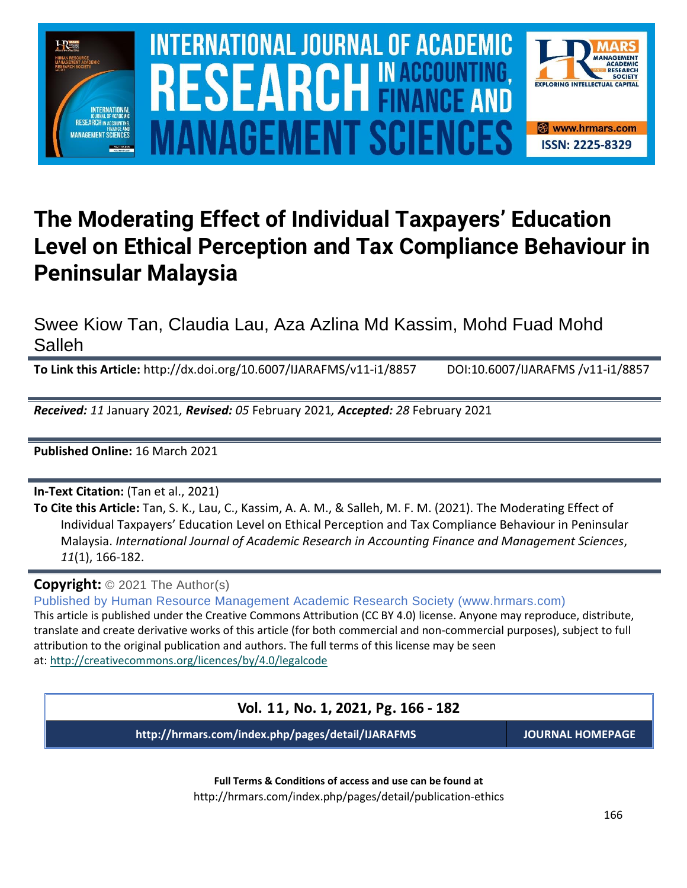

### **The Moderating Effect of Individual Taxpayers' Education Level on Ethical Perception and Tax Compliance Behaviour in Peninsular Malaysia**

Swee Kiow Tan, Claudia Lau, Aza Azlina Md Kassim, Mohd Fuad Mohd Salleh

**To Link this Article:** http://dx.doi.org/10.6007/IJARAFMS/v11-i1/8857 DOI:10.6007/IJARAFMS /v11-i1/8857

*Received: 11* January 2021*, Revised: 05* February 2021*, Accepted: 28* February 2021

**Published Online:** 16 March 2021

**In-Text Citation:** (Tan et al., 2021)

**To Cite this Article:** Tan, S. K., Lau, C., Kassim, A. A. M., & Salleh, M. F. M. (2021). The Moderating Effect of Individual Taxpayers' Education Level on Ethical Perception and Tax Compliance Behaviour in Peninsular Malaysia. *International Journal of Academic Research in Accounting Finance and Management Sciences*, *11*(1), 166-182.

**Copyright:** © 2021 The Author(s)

Published by Human Resource Management Academic Research Society (www.hrmars.com)

This article is published under the Creative Commons Attribution (CC BY 4.0) license. Anyone may reproduce, distribute, translate and create derivative works of this article (for both commercial and non-commercial purposes), subject to full attribution to the original publication and authors. The full terms of this license may be seen at: <http://creativecommons.org/licences/by/4.0/legalcode>

**Vol. 11, No. 1, 2021, Pg. 166 - 182**

**http://hrmars.com/index.php/pages/detail/IJARAFMS JOURNAL HOMEPAGE**

**Full Terms & Conditions of access and use can be found at** http://hrmars.com/index.php/pages/detail/publication-ethics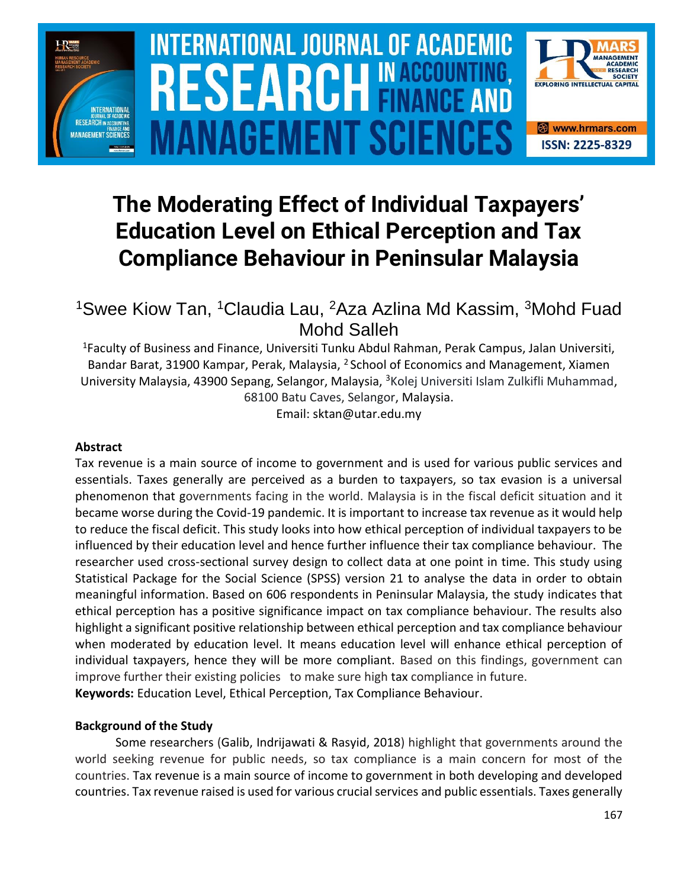

# **INTERNATIONAL JOURNAL OF ACADEMIC** SOURCE NEWSLET AND RELEASE OF THE SCIENCE OF THE SCIENCE OF THE SCIENCE OF THE SCIENCE OF THE SCIENCE OF THE SCIENCE **Vol. 1 1 , No. 1, 2021, E-ISSN: 2225-8329 © 2021 HRMARS ANAGEMENT SCIEN**



## **The Moderating Effect of Individual Taxpayers' Education Level on Ethical Perception and Tax Compliance Behaviour in Peninsular Malaysia**

### <sup>1</sup>Swee Kiow Tan, <sup>1</sup>Claudia Lau, <sup>2</sup>Aza Azlina Md Kassim, <sup>3</sup>Mohd Fuad Mohd Salleh

<sup>1</sup>Faculty of Business and Finance, Universiti Tunku Abdul Rahman, Perak Campus, Jalan Universiti, Bandar Barat, 31900 Kampar, Perak, Malaysia, <sup>2</sup> School of Economics and Management, Xiamen University Malaysia, 43900 Sepang, Selangor, Malaysia, <sup>3</sup>Kolej Universiti Islam Zulkifli Muhammad, 68100 Batu Caves, Selangor, Malaysia.

Email: sktan@utar.edu.my

#### **Abstract**

Tax revenue is a main source of income to government and is used for various public services and essentials. Taxes generally are perceived as a burden to taxpayers, so tax evasion is a universal phenomenon that governments facing in the world. Malaysia is in the fiscal deficit situation and it became worse during the Covid-19 pandemic. It is important to increase tax revenue as it would help to reduce the fiscal deficit. This study looks into how ethical perception of individual taxpayers to be influenced by their education level and hence further influence their tax compliance behaviour. The researcher used cross-sectional survey design to collect data at one point in time. This study using Statistical Package for the Social Science (SPSS) version 21 to analyse the data in order to obtain meaningful information. Based on 606 respondents in Peninsular Malaysia, the study indicates that ethical perception has a positive significance impact on tax compliance behaviour. The results also highlight a significant positive relationship between ethical perception and tax compliance behaviour when moderated by education level. It means education level will enhance ethical perception of individual taxpayers, hence they will be more compliant. Based on this findings, government can improve further their existing policies to make sure high tax compliance in future. **Keywords:** Education Level, Ethical Perception, Tax Compliance Behaviour.

#### **Background of the Study**

Some researchers (Galib, Indrijawati & Rasyid, 2018) highlight that governments around the world seeking revenue for public needs, so tax compliance is a main concern for most of the countries. Tax revenue is a main source of income to government in both developing and developed countries. Tax revenue raised is used for various crucial services and public essentials. Taxes generally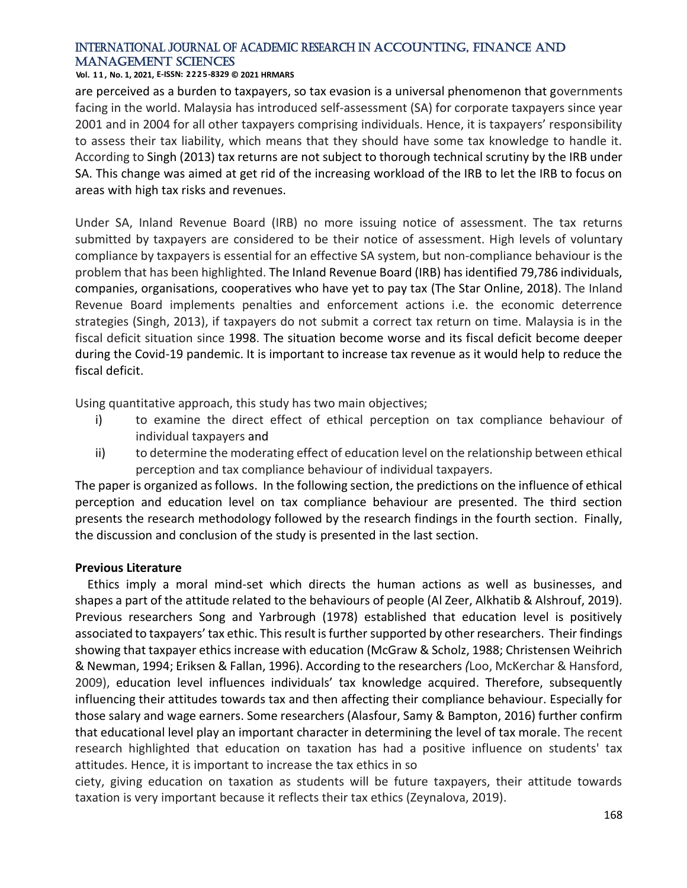#### **Vol. 1 1 , No. 1, 2021, E-ISSN: 2225-8329 © 2021 HRMARS**

are perceived as a burden to taxpayers, so tax evasion is a universal phenomenon that governments facing in the world. Malaysia has introduced self-assessment (SA) for corporate taxpayers since year 2001 and in 2004 for all other taxpayers comprising individuals. Hence, it is taxpayers' responsibility to assess their tax liability, which means that they should have some tax knowledge to handle it. According to Singh (2013) tax returns are not subject to thorough technical scrutiny by the IRB under SA. This change was aimed at get rid of the increasing workload of the IRB to let the IRB to focus on areas with high tax risks and revenues.

Under SA, Inland Revenue Board (IRB) no more issuing notice of assessment. The tax returns submitted by taxpayers are considered to be their notice of assessment. High levels of voluntary compliance by taxpayers is essential for an effective SA system, but non-compliance behaviour is the problem that has been highlighted. The Inland Revenue Board (IRB) has identified 79,786 individuals, companies, organisations, cooperatives who have yet to pay tax (The Star Online, 2018). The Inland Revenue Board implements penalties and enforcement actions i.e. the economic deterrence strategies (Singh, 2013), if taxpayers do not submit a correct tax return on time. Malaysia is in the fiscal deficit situation since 1998. The situation become worse and its fiscal deficit become deeper during the Covid-19 pandemic. It is important to increase tax revenue as it would help to reduce the fiscal deficit.

Using quantitative approach, this study has two main objectives;

- i) to examine the direct effect of ethical perception on tax compliance behaviour of individual taxpayers and
- ii) to determine the moderating effect of education level on the relationship between ethical perception and tax compliance behaviour of individual taxpayers.

The paper is organized as follows. In the following section, the predictions on the influence of ethical perception and education level on tax compliance behaviour are presented. The third section presents the research methodology followed by the research findings in the fourth section. Finally, the discussion and conclusion of the study is presented in the last section.

#### **Previous Literature**

Ethics imply a moral mind-set which directs the human actions as well as businesses, and shapes a part of the attitude related to the behaviours of people (Al Zeer, Alkhatib & Alshrouf, 2019). Previous researchers Song and Yarbrough (1978) established that education level is positively associated to taxpayers' tax ethic. This result is further supported by other researchers. Their findings showing that taxpayer ethics increase with education (McGraw & Scholz, 1988; Christensen Weihrich & Newman, 1994; Eriksen & Fallan, 1996). According to the researchers *(*Loo, McKerchar & Hansford, 2009), education level influences individuals' tax knowledge acquired. Therefore, subsequently influencing their attitudes towards tax and then affecting their compliance behaviour. Especially for those salary and wage earners. Some researchers [\(Alasfour,](https://www.emerald.com/insight/search?q=Fadi%20Alasfour) [Samy](https://www.emerald.com/insight/search?q=Martin%20Samy) & [Bampton, 2](https://www.emerald.com/insight/search?q=Roberta%20Bampton)016) further confirm that educational level play an important character in determining the level of tax morale. The recent research highlighted that education on taxation has had a positive influence on students' tax attitudes. Hence, it is important to increase the tax ethics in so

ciety, giving education on taxation as students will be future taxpayers, their attitude towards taxation is very important because it reflects their tax ethics (Zeynalova, 2019).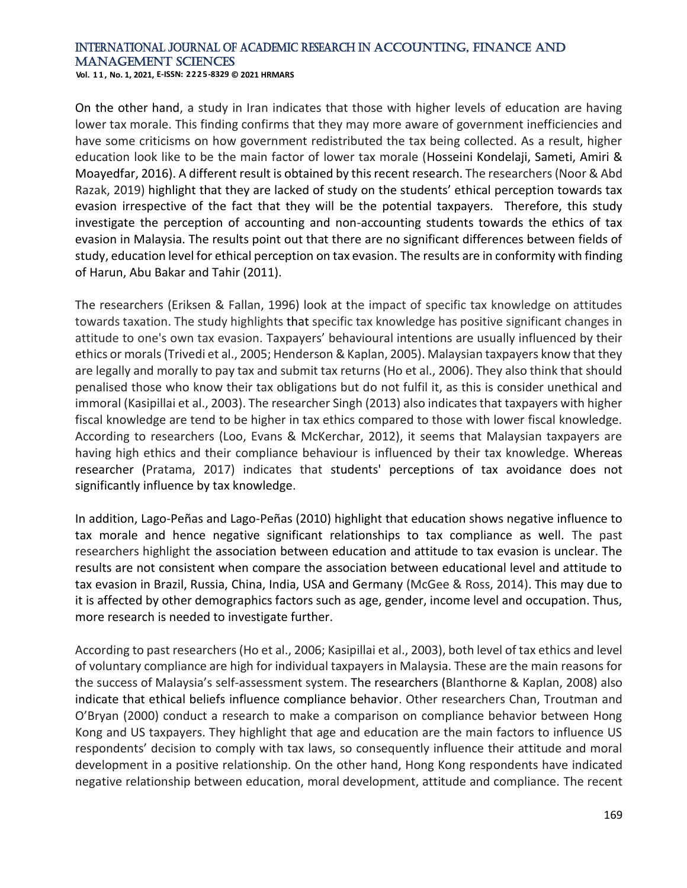**Vol. 1 1 , No. 1, 2021, E-ISSN: 2225-8329 © 2021 HRMARS**

On the other hand, a study in Iran indicates that those with higher levels of education are having lower tax morale. This finding confirms that they may more aware of government inefficiencies and have some criticisms on how government redistributed the tax being collected. As a result, higher education look like to be the main factor of lower tax morale (Hosseini Kondelaji, Sameti, Amiri & Moayedfar, 2016). A different result is obtained by this recent research. The researchers (Noor & Abd Razak, 2019) highlight that they are lacked of study on the students' ethical perception towards tax evasion irrespective of the fact that they will be the potential taxpayers. Therefore, this study investigate the perception of accounting and non-accounting students towards the ethics of tax evasion in Malaysia. The results point out that there are no significant differences between fields of study, education level for ethical perception on tax evasion. The results are in conformity with finding of Harun, Abu Bakar and Tahir (2011).

The researchers (Eriksen & Fallan, 1996) look at the impact of specific tax knowledge on attitudes towards taxation. The study highlights that specific tax knowledge has positive significant changes in attitude to one's own tax evasion. Taxpayers' behavioural intentions are usually influenced by their ethics or morals (Trivedi et al., 2005; Henderson & Kaplan, 2005). Malaysian taxpayers know that they are legally and morally to pay tax and submit tax returns (Ho et al., 2006). They also think that should penalised those who know their tax obligations but do not fulfil it, as this is consider unethical and immoral (Kasipillai et al., 2003). The researcher Singh (2013) also indicates that taxpayers with higher fiscal knowledge are tend to be higher in tax ethics compared to those with lower fiscal knowledge. According to researchers (Loo, Evans & McKerchar, 2012), it seems that Malaysian taxpayers are having high ethics and their compliance behaviour is influenced by their tax knowledge. Whereas researcher (Pratama, 2017) indicates that students' perceptions of tax avoidance does not significantly influence by tax knowledge.

In addition, Lago-Peñas and Lago-Peñas (2010) highlight that education shows negative influence to tax morale and hence negative significant relationships to tax compliance as well. The past researchers highlight the association between education and attitude to tax evasion is unclear. The results are not consistent when compare the association between educational level and attitude to tax evasion in Brazil, Russia, China, India, USA and Germany (McGee & Ross, 2014). This may due to it is affected by other demographics factors such as age, gender, income level and occupation. Thus, more research is needed to investigate further.

According to past researchers (Ho et al., 2006; Kasipillai et al., 2003), both level of tax ethics and level of voluntary compliance are high for individual taxpayers in Malaysia. These are the main reasons for the success of Malaysia's self-assessment system. The researchers (Blanthorne & Kaplan, 2008) also indicate that ethical beliefs influence compliance behavior. Other researchers Chan, Troutman and O'Bryan (2000) conduct a research to make a comparison on compliance behavior between Hong Kong and US taxpayers. They highlight that age and education are the main factors to influence US respondents' decision to comply with tax laws, so consequently influence their attitude and moral development in a positive relationship. On the other hand, Hong Kong respondents have indicated negative relationship between education, moral development, attitude and compliance. The recent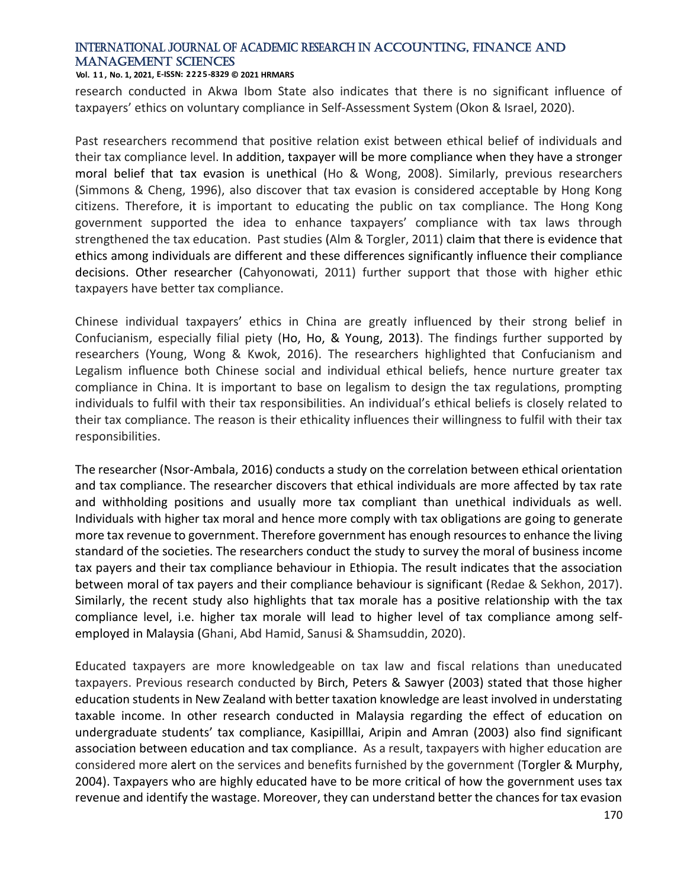#### **Vol. 1 1 , No. 1, 2021, E-ISSN: 2225-8329 © 2021 HRMARS**

research conducted in Akwa Ibom State also indicates that there is no significant influence of taxpayers' ethics on voluntary compliance in Self-Assessment System (Okon & Israel, 2020).

Past researchers recommend that positive relation exist between ethical belief of individuals and their tax compliance level. In addition, taxpayer will be more compliance when they have a stronger moral belief that tax evasion is unethical (Ho & Wong, 2008). Similarly, previous researchers (Simmons & Cheng, 1996), also discover that tax evasion is considered acceptable by Hong Kong citizens. Therefore, it is important to educating the public on tax compliance. The Hong Kong government supported the idea to enhance taxpayers' compliance with tax laws through strengthened the tax education. Past studies (Alm & Torgler, 2011) claim that there is evidence that ethics among individuals are different and these differences significantly influence their compliance decisions. Other researcher (Cahyonowati, 2011) further support that those with higher ethic taxpayers have better tax compliance.

Chinese individual taxpayers' ethics in China are greatly influenced by their strong belief in Confucianism, especially filial piety (Ho, Ho, & Young, 2013). The findings further supported by researchers (Young, Wong & Kwok, 2016). The researchers highlighted that Confucianism and Legalism influence both Chinese social and individual ethical beliefs, hence nurture greater tax compliance in China. It is important to base on legalism to design the tax regulations, prompting individuals to fulfil with their tax responsibilities. An individual's ethical beliefs is closely related to their tax compliance. The reason is their ethicality influences their willingness to fulfil with their tax responsibilities.

The researcher (Nsor-Ambala, 2016) conducts a study on the correlation between ethical orientation and tax compliance. The researcher discovers that ethical individuals are more affected by tax rate and withholding positions and usually more tax compliant than unethical individuals as well. Individuals with higher tax moral and hence more comply with tax obligations are going to generate more tax revenue to government. Therefore government has enough resources to enhance the living standard of the societies. The researchers conduct the study to survey the moral of business income tax payers and their tax compliance behaviour in Ethiopia. The result indicates that the association between moral of tax payers and their compliance behaviour is significant (Redae & Sekhon, 2017). Similarly, the recent study also highlights that tax morale has a positive relationship with the tax compliance level, i.e. higher tax morale will lead to higher level of tax compliance among selfemployed in Malaysia (Ghani, Abd Hamid, Sanusi & Shamsuddin, 2020).

Educated taxpayers are more knowledgeable on tax law and fiscal relations than uneducated taxpayers. Previous research conducted by Birch, Peters & Sawyer (2003) stated that those higher education students in New Zealand with better taxation knowledge are least involved in understating taxable income. In other research conducted in Malaysia regarding the effect of education on undergraduate students' tax compliance, Kasipilllai, Aripin and Amran (2003) also find significant association between education and tax compliance. As a result, taxpayers with higher education are considered more alert on the services and benefits furnished by the government (Torgler & Murphy, 2004). Taxpayers who are highly educated have to be more critical of how the government uses tax revenue and identify the wastage. Moreover, they can understand better the chances for tax evasion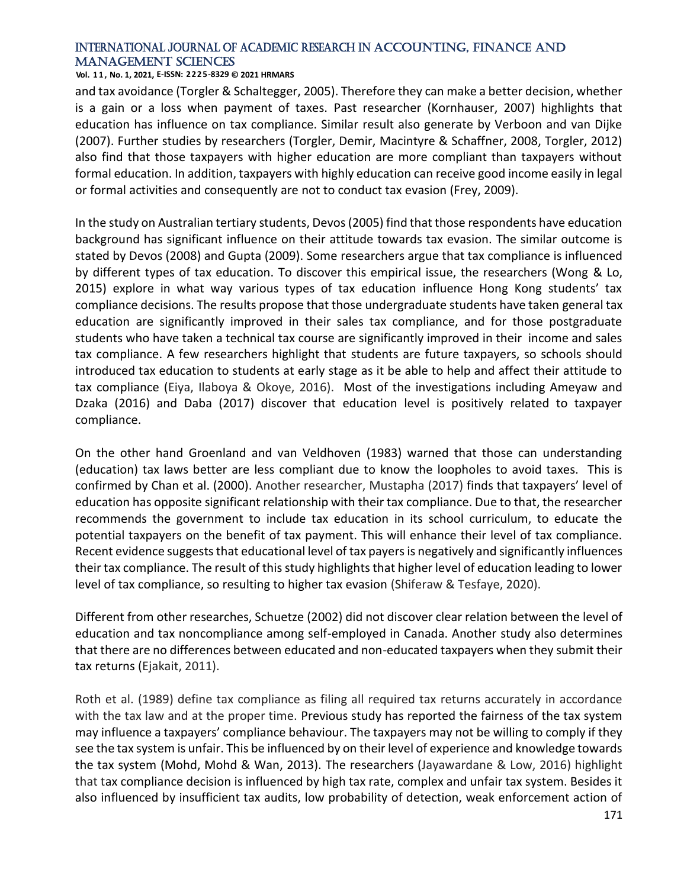#### **Vol. 1 1 , No. 1, 2021, E-ISSN: 2225-8329 © 2021 HRMARS**

and tax avoidance (Torgler & Schaltegger, 2005). Therefore they can make a better decision, whether is a gain or a loss when payment of taxes. Past researcher (Kornhauser, 2007) highlights that education has influence on tax compliance. Similar result also generate by Verboon and van Dijke (2007). Further studies by researchers (Torgler, Demir, Macintyre & Schaffner, 2008, Torgler, 2012) also find that those taxpayers with higher education are more compliant than taxpayers without formal education. In addition, taxpayers with highly education can receive good income easily in legal or formal activities and consequently are not to conduct tax evasion (Frey, 2009).

In the study on Australian tertiary students, Devos (2005) find that those respondents have education background has significant influence on their attitude towards tax evasion. The similar outcome is stated by Devos (2008) and Gupta (2009). Some researchers argue that tax compliance is influenced by different types of tax education. To discover this empirical issue, the researchers (Wong & Lo, 2015) explore in what way various types of tax education influence Hong Kong students' tax compliance decisions. The results propose that those undergraduate students have taken general tax education are significantly improved in their sales tax compliance, and for those postgraduate students who have taken a technical tax course are significantly improved in their income and sales tax compliance. A few researchers highlight that students are future taxpayers, so schools should introduced tax education to students at early stage as it be able to help and affect their attitude to tax compliance (Eiya, Ilaboya & Okoye, 2016). Most of the investigations including Ameyaw and Dzaka (2016) and Daba (2017) discover that education level is positively related to taxpayer compliance.

On the other hand Groenland and van Veldhoven (1983) warned that those can understanding (education) tax laws better are less compliant due to know the loopholes to avoid taxes. This is confirmed by Chan et al. (2000). Another researcher, Mustapha (2017) finds that taxpayers' level of education has opposite significant relationship with their tax compliance. Due to that, the researcher recommends the government to include tax education in its school curriculum, to educate the potential taxpayers on the benefit of tax payment. This will enhance their level of tax compliance. Recent evidence suggests that educational level of tax payers is negatively and significantly influences their tax compliance. The result of this study highlights that higher level of education leading to lower level of tax compliance, so resulting to higher tax evasion (Shiferaw & Tesfaye, 2020).

Different from other researches, Schuetze (2002) did not discover clear relation between the level of education and tax noncompliance among self-employed in Canada. Another study also determines that there are no differences between educated and non-educated taxpayers when they submit their tax returns (Ejakait, 2011).

Roth et al. (1989) define tax compliance as filing all required tax returns accurately in accordance with the tax law and at the proper time. Previous study has reported the fairness of the tax system may influence a taxpayers' compliance behaviour. The taxpayers may not be willing to comply if they see the tax system is unfair. This be influenced by on their level of experience and knowledge towards the tax system (Mohd, Mohd & Wan, 2013). The researchers (Jayawardane & Low, 2016) highlight that tax compliance decision is influenced by high tax rate, complex and unfair tax system. Besides it also influenced by insufficient tax audits, low probability of detection, weak enforcement action of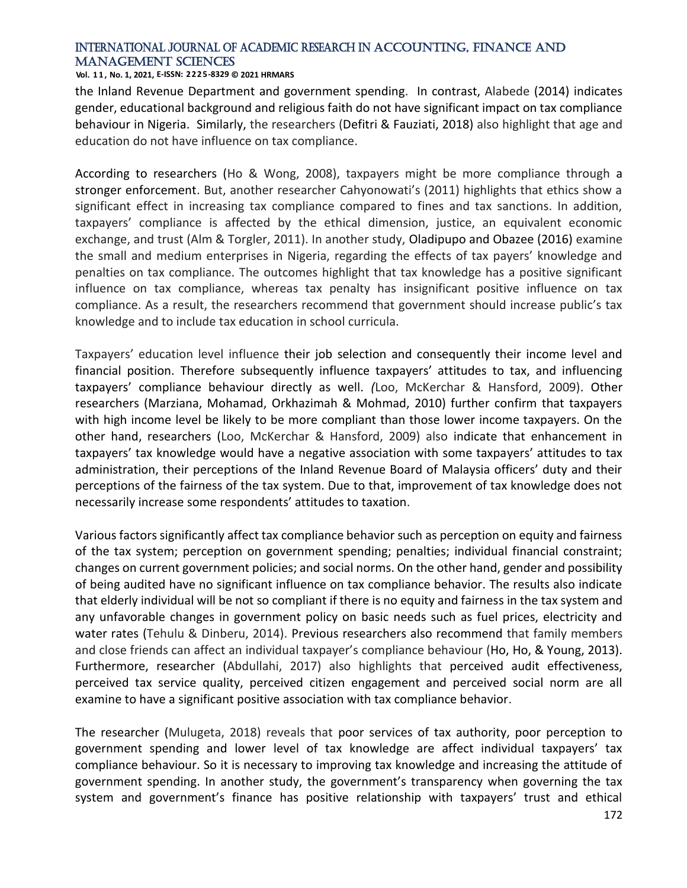#### **Vol. 1 1 , No. 1, 2021, E-ISSN: 2225-8329 © 2021 HRMARS**

the Inland Revenue Department and government spending. In contrast, Alabede (2014) indicates gender, educational background and religious faith do not have significant impact on tax compliance behaviour in Nigeria. Similarly, the researchers (Defitri & Fauziati, 2018) also highlight that age and education do not have influence on tax compliance.

According to researchers (Ho & Wong, 2008), taxpayers might be more compliance through a stronger enforcement. But, another researcher Cahyonowati's (2011) highlights that ethics show a significant effect in increasing tax compliance compared to fines and tax sanctions. In addition, taxpayers' compliance is affected by the ethical dimension, justice, an equivalent economic exchange, and trust (Alm & Torgler, 2011). In another study, Oladipupo and Obazee (2016) examine the small and medium enterprises in Nigeria, regarding the effects of tax payers' knowledge and penalties on tax compliance. The outcomes highlight that tax knowledge has a positive significant influence on tax compliance, whereas tax penalty has insignificant positive influence on tax compliance. As a result, the researchers recommend that government should increase public's tax knowledge and to include tax education in school curricula.

Taxpayers' education level influence their job selection and consequently their income level and financial position. Therefore subsequently influence taxpayers' attitudes to tax, and influencing taxpayers' compliance behaviour directly as well. *(*Loo, McKerchar & Hansford, 2009). Other researchers (Marziana, Mohamad, Orkhazimah & Mohmad, 2010) further confirm that taxpayers with high income level be likely to be more compliant than those lower income taxpayers. On the other hand, researchers (Loo, McKerchar & Hansford, 2009) also indicate that enhancement in taxpayers' tax knowledge would have a negative association with some taxpayers' attitudes to tax administration, their perceptions of the Inland Revenue Board of Malaysia officers' duty and their perceptions of the fairness of the tax system. Due to that, improvement of tax knowledge does not necessarily increase some respondents' attitudes to taxation.

Various factors significantly affect tax compliance behavior such as perception on equity and fairness of the tax system; perception on government spending; penalties; individual financial constraint; changes on current government policies; and social norms. On the other hand, gender and possibility of being audited have no significant influence on tax compliance behavior. The results also indicate that elderly individual will be not so compliant if there is no equity and fairness in the tax system and any unfavorable changes in government policy on basic needs such as fuel prices, electricity and water rates (Tehulu & Dinberu, 2014). Previous researchers also recommend that family members and close friends can affect an individual taxpayer's compliance behaviour (Ho, Ho, & Young, 2013). Furthermore, researcher (Abdullahi, 2017) also highlights that perceived audit effectiveness, perceived tax service quality, perceived citizen engagement and perceived social norm are all examine to have a significant positive association with tax compliance behavior.

The researcher (Mulugeta, 2018) reveals that poor services of tax authority, poor perception to government spending and lower level of tax knowledge are affect individual taxpayers' tax compliance behaviour. So it is necessary to improving tax knowledge and increasing the attitude of government spending. In another study, the government's transparency when governing the tax system and government's finance has positive relationship with taxpayers' trust and ethical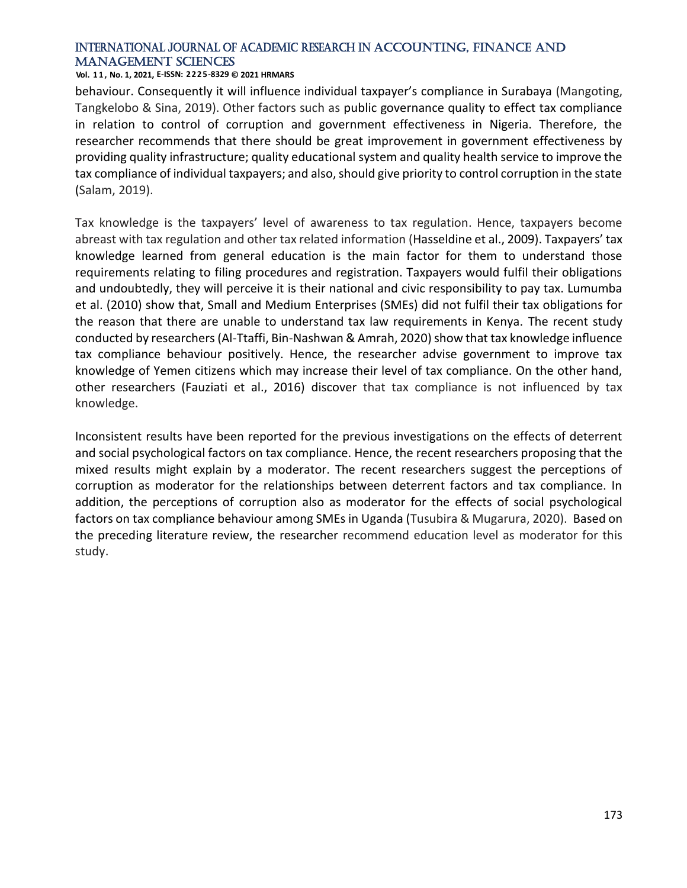#### **Vol. 1 1 , No. 1, 2021, E-ISSN: 2225-8329 © 2021 HRMARS**

behaviour. Consequently it will influence individual taxpayer's compliance in Surabaya (Mangoting, Tangkelobo & Sina, 2019). Other factors such as public governance quality to effect tax compliance in relation to control of corruption and government effectiveness in Nigeria. Therefore, the researcher recommends that there should be great improvement in government effectiveness by providing quality infrastructure; quality educational system and quality health service to improve the tax compliance of individual taxpayers; and also, should give priority to control corruption in the state (Salam, 2019).

Tax knowledge is the taxpayers' level of awareness to tax regulation. Hence, taxpayers become abreast with tax regulation and other tax related information (Hasseldine et al., 2009). Taxpayers' tax knowledge learned from general education is the main factor for them to understand those requirements relating to filing procedures and registration. Taxpayers would fulfil their obligations and undoubtedly, they will perceive it is their national and civic responsibility to pay tax. Lumumba et al. (2010) show that, Small and Medium Enterprises (SMEs) did not fulfil their tax obligations for the reason that there are unable to understand tax law requirements in Kenya. The recent study conducted by researchers (Al-Ttaffi, Bin-Nashwan & Amrah, 2020) show that tax knowledge influence tax compliance behaviour positively. Hence, the researcher advise government to improve tax knowledge of Yemen citizens which may increase their level of tax compliance. On the other hand, other researchers (Fauziati et al., 2016) discover that tax compliance is not influenced by tax knowledge.

Inconsistent results have been reported for the previous investigations on the effects of deterrent and social psychological factors on tax compliance. Hence, the recent researchers proposing that the mixed results might explain by a moderator. The recent researchers suggest the perceptions of corruption as moderator for the relationships between deterrent factors and tax compliance. In addition, the perceptions of corruption also as moderator for the effects of social psychological factors on tax compliance behaviour among SMEs in Uganda (Tusubira & Mugarura, 2020). Based on the preceding literature review, the researcher recommend education level as moderator for this study.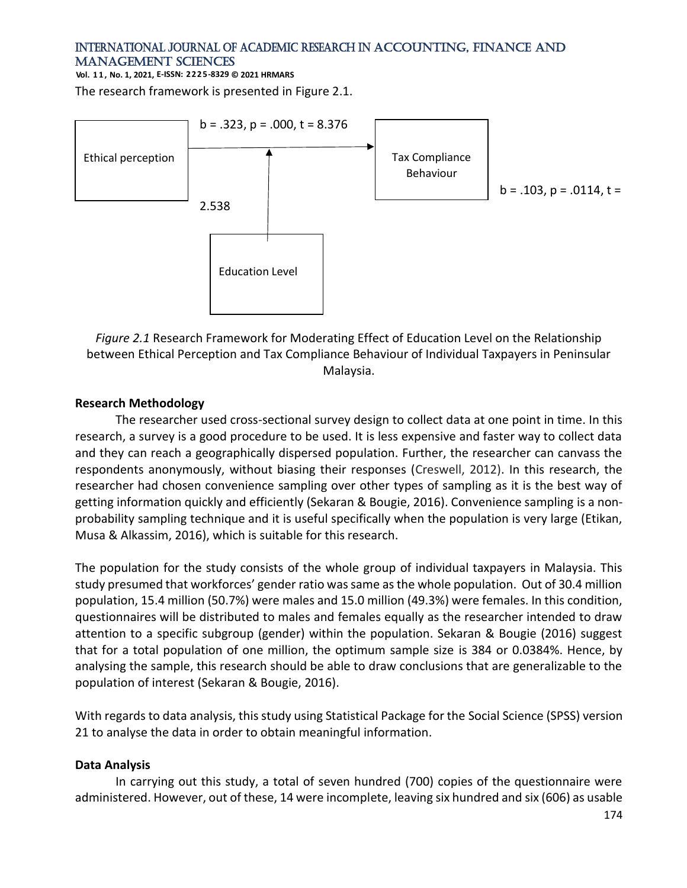**Vol. 1 1 , No. 1, 2021, E-ISSN: 2225-8329 © 2021 HRMARS**

The research framework is presented in Figure 2.1.



*Figure 2.1* Research Framework for Moderating Effect of Education Level on the Relationship between Ethical Perception and Tax Compliance Behaviour of Individual Taxpayers in Peninsular Malaysia.

#### **Research Methodology**

The researcher used cross-sectional survey design to collect data at one point in time. In this research, a survey is a good procedure to be used. It is less expensive and faster way to collect data and they can reach a geographically dispersed population. Further, the researcher can canvass the respondents anonymously, without biasing their responses (Creswell, 2012). In this research, the researcher had chosen convenience sampling over other types of sampling as it is the best way of getting information quickly and efficiently (Sekaran & Bougie, 2016). Convenience sampling is a nonprobability sampling technique and it is useful specifically when the population is very large (Etikan, Musa & Alkassim, 2016), which is suitable for this research.

The population for the study consists of the whole group of individual taxpayers in Malaysia. This study presumed that workforces' gender ratio was same as the whole population. Out of 30.4 million population, 15.4 million (50.7%) were males and 15.0 million (49.3%) were females. In this condition, questionnaires will be distributed to males and females equally as the researcher intended to draw attention to a specific subgroup (gender) within the population. Sekaran & Bougie (2016) suggest that for a total population of one million, the optimum sample size is 384 or 0.0384%. Hence, by analysing the sample, this research should be able to draw conclusions that are generalizable to the population of interest (Sekaran & Bougie, 2016).

With regards to data analysis, this study using Statistical Package for the Social Science (SPSS) version 21 to analyse the data in order to obtain meaningful information.

#### **Data Analysis**

In carrying out this study, a total of seven hundred (700) copies of the questionnaire were administered. However, out of these, 14 were incomplete, leaving six hundred and six (606) as usable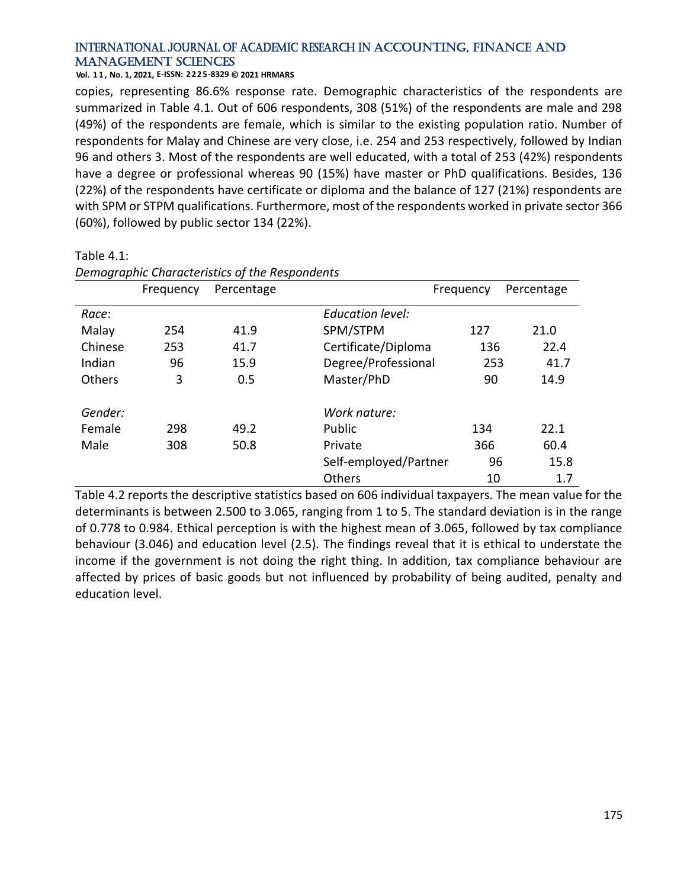#### **Vol. 1 1 , No. 1, 2021, E-ISSN: 2225-8329 © 2021 HRMARS**

*Demographic Characteristics of the Respondents*

copies, representing 86.6% response rate. Demographic characteristics of the respondents are summarized in Table 4.1. Out of 606 respondents, 308 (51%) of the respondents are male and 298 (49%) of the respondents are female, which is similar to the existing population ratio. Number of respondents for Malay and Chinese are very close, i.e. 254 and 253 respectively, followed by Indian 96 and others 3. Most of the respondents are well educated, with a total of 253 (42%) respondents have a degree or professional whereas 90 (15%) have master or PhD qualifications. Besides, 136 (22%) of the respondents have certificate or diploma and the balance of 127 (21%) respondents are with SPM or STPM qualifications. Furthermore, most of the respondents worked in private sector 366 (60%), followed by public sector 134 (22%).

|         | Frequency | Percentage |                         | Frequency | Percentage |
|---------|-----------|------------|-------------------------|-----------|------------|
| Race:   |           |            | <b>Education level:</b> |           |            |
| Malay   | 254       | 41.9       | SPM/STPM                | 127       | 21.0       |
| Chinese | 253       | 41.7       | Certificate/Diploma     | 136       | 22.4       |
| Indian  | 96        | 15.9       | Degree/Professional     | 253       | 41.7       |
| Others  | 3         | 0.5        | Master/PhD              | 90        | 14.9       |
| Gender: |           |            | Work nature:            |           |            |
| Female  | 298       | 49.2       | Public                  | 134       | 22.1       |
| Male    | 308       | 50.8       | Private                 | 366       | 60.4       |
|         |           |            | Self-employed/Partner   | 96        | 15.8       |
|         |           |            | Others                  | 10        | 1.7        |

#### Table 4.1:

Table 4.2 reports the descriptive statistics based on 606 individual taxpayers. The mean value for the determinants is between 2.500 to 3.065, ranging from 1 to 5. The standard deviation is in the range of 0.778 to 0.984. Ethical perception is with the highest mean of 3.065, followed by tax compliance behaviour (3.046) and education level (2.5). The findings reveal that it is ethical to understate the income if the government is not doing the right thing. In addition, tax compliance behaviour are affected by prices of basic goods but not influenced by probability of being audited, penalty and education level.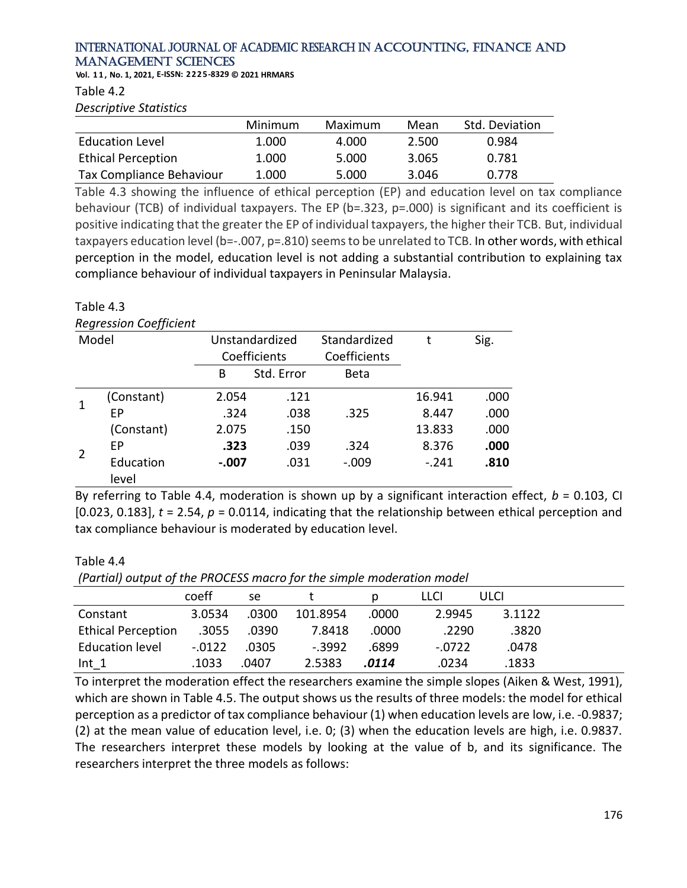**Vol. 1 1 , No. 1, 2021, E-ISSN: 2225-8329 © 2021 HRMARS**

Table 4.2

*Descriptive Statistics*

|                           | Minimum | Maximum | Mean  | Std. Deviation |
|---------------------------|---------|---------|-------|----------------|
| <b>Education Level</b>    | 1.000   | 4.000   | 2.500 | 0.984          |
| <b>Ethical Perception</b> | 1.000   | 5.000   | 3.065 | 0.781          |
| Tax Compliance Behaviour  | 1.000   | 5.000   | 3.046 | 0.778          |

Table 4.3 showing the influence of ethical perception (EP) and education level on tax compliance behaviour (TCB) of individual taxpayers. The EP (b=.323, p=.000) is significant and its coefficient is positive indicating that the greater the EP of individual taxpayers, the higher their TCB. But, individual taxpayers education level (b=-.007, p=.810) seems to be unrelated to TCB. In other words, with ethical perception in the model, education level is not adding a substantial contribution to explaining tax compliance behaviour of individual taxpayers in Peninsular Malaysia.

#### Table 4.3

#### *Regression Coefficient*

|                | $ -$               |         |                |              |         |      |
|----------------|--------------------|---------|----------------|--------------|---------|------|
|                | Model              |         | Unstandardized | Standardized |         | Sig. |
|                |                    |         | Coefficients   | Coefficients |         |      |
|                |                    | В       | Std. Error     | <b>Beta</b>  |         |      |
|                | (Constant)         | 2.054   | .121           |              | 16.941  | .000 |
|                | ЕP                 | .324    | .038           | .325         | 8.447   | .000 |
|                | (Constant)         | 2.075   | .150           |              | 13.833  | .000 |
| $\overline{2}$ | EP                 | .323    | .039           | .324         | 8.376   | .000 |
|                | Education<br>level | $-.007$ | .031           | $-.009$      | $-.241$ | .810 |

By referring to Table 4.4, moderation is shown up by a significant interaction effect,  $b = 0.103$ , CI [0.023, 0.183], *t* = 2.54, *p* = 0.0114, indicating that the relationship between ethical perception and tax compliance behaviour is moderated by education level.

#### Table 4.4

*(Partial) output of the PROCESS macro for the simple moderation model*

|                           | coeff    | se    |          |       | LLCI     | ULCI   |  |
|---------------------------|----------|-------|----------|-------|----------|--------|--|
| Constant                  | 3.0534   | .0300 | 101.8954 | .0000 | 2.9945   | 3.1122 |  |
| <b>Ethical Perception</b> | .3055    | .0390 | 7.8418   | .0000 | .2290    | .3820  |  |
| <b>Education level</b>    | $-.0122$ | .0305 | $-.3992$ | .6899 | $-.0722$ | .0478  |  |
| $Int_1$                   | .1033    | .0407 | 2.5383   | .0114 | .0234    | .1833  |  |

To interpret the moderation effect the researchers examine the simple slopes (Aiken & West, 1991), which are shown in Table 4.5. The output shows us the results of three models: the model for ethical perception as a predictor of tax compliance behaviour (1) when education levels are low, i.e. -0.9837; (2) at the mean value of education level, i.e. 0; (3) when the education levels are high, i.e. 0.9837. The researchers interpret these models by looking at the value of b, and its significance. The researchers interpret the three models as follows: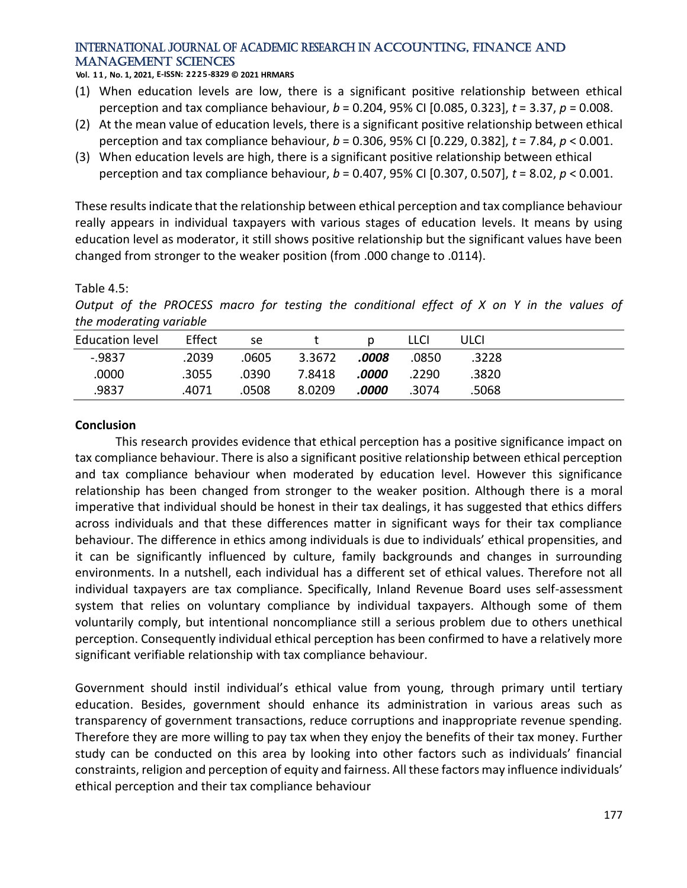**Vol. 1 1 , No. 1, 2021, E-ISSN: 2225-8329 © 2021 HRMARS**

- (1) When education levels are low, there is a significant positive relationship between ethical perception and tax compliance behaviour, *b* = 0.204, 95% CI [0.085, 0.323], *t* = 3.37, *p* = 0.008.
- (2) At the mean value of education levels, there is a significant positive relationship between ethical perception and tax compliance behaviour, *b* = 0.306, 95% CI [0.229, 0.382], *t* = 7.84, *p* < 0.001.
- (3) When education levels are high, there is a significant positive relationship between ethical perception and tax compliance behaviour, *b* = 0.407, 95% CI [0.307, 0.507], *t* = 8.02, *p* < 0.001.

These results indicate that the relationship between ethical perception and tax compliance behaviour really appears in individual taxpayers with various stages of education levels. It means by using education level as moderator, it still shows positive relationship but the significant values have been changed from stronger to the weaker position (from .000 change to .0114).

#### Table 4.5:

*Output of the PROCESS macro for testing the conditional effect of X on Y in the values of the moderating variable*

| <b>Education level</b> | Effect | se    |        |       | LLCI  | ULCI  |  |
|------------------------|--------|-------|--------|-------|-------|-------|--|
| $-0.9837$              | .2039  | .0605 | 3.3672 | .0008 | .0850 | .3228 |  |
| .0000                  | .3055  | .0390 | 7.8418 | .0000 | .2290 | .3820 |  |
| .9837                  | .4071  | .0508 | 8.0209 | .0000 | .3074 | .5068 |  |

#### **Conclusion**

This research provides evidence that ethical perception has a positive significance impact on tax compliance behaviour. There is also a significant positive relationship between ethical perception and tax compliance behaviour when moderated by education level. However this significance relationship has been changed from stronger to the weaker position. Although there is a moral imperative that individual should be honest in their tax dealings, it has suggested that ethics differs across individuals and that these differences matter in significant ways for their tax compliance behaviour. The difference in ethics among individuals is due to individuals' ethical propensities, and it can be significantly influenced by culture, family backgrounds and changes in surrounding environments. In a nutshell, each individual has a different set of ethical values. Therefore not all individual taxpayers are tax compliance. Specifically, Inland Revenue Board uses self-assessment system that relies on voluntary compliance by individual taxpayers. Although some of them voluntarily comply, but intentional noncompliance still a serious problem due to others unethical perception. Consequently individual ethical perception has been confirmed to have a relatively more significant verifiable relationship with tax compliance behaviour.

Government should instil individual's ethical value from young, through primary until tertiary education. Besides, government should enhance its administration in various areas such as transparency of government transactions, reduce corruptions and inappropriate revenue spending. Therefore they are more willing to pay tax when they enjoy the benefits of their tax money. Further study can be conducted on this area by looking into other factors such as individuals' financial constraints, religion and perception of equity and fairness. All these factors may influence individuals' ethical perception and their tax compliance behaviour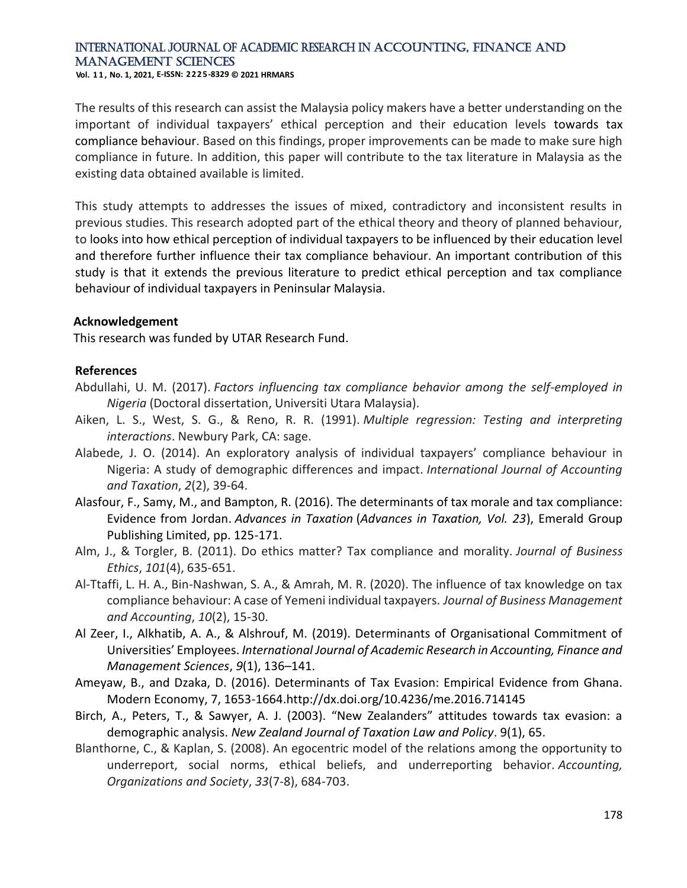**Vol. 1 1 , No. 1, 2021, E-ISSN: 2225-8329 © 2021 HRMARS**

The results of this research can assist the Malaysia policy makers have a better understanding on the important of individual taxpayers' ethical perception and their education levels towards tax compliance behaviour. Based on this findings, proper improvements can be made to make sure high compliance in future. In addition, this paper will contribute to the tax literature in Malaysia as the existing data obtained available is limited.

This study attempts to addresses the issues of mixed, contradictory and inconsistent results in previous studies. This research adopted part of the ethical theory and theory of planned behaviour, to looks into how ethical perception of individual taxpayers to be influenced by their education level and therefore further influence their tax compliance behaviour. An important contribution of this study is that it extends the previous literature to predict ethical perception and tax compliance behaviour of individual taxpayers in Peninsular Malaysia.

#### **Acknowledgement**

This research was funded by UTAR Research Fund.

#### **References**

- Abdullahi, U. M. (2017). *Factors influencing tax compliance behavior among the self-employed in Nigeria* (Doctoral dissertation, Universiti Utara Malaysia).
- Aiken, L. S., West, S. G., & Reno, R. R. (1991). *Multiple regression: Testing and interpreting interactions*. Newbury Park, CA: sage.
- Alabede, J. O. (2014). An exploratory analysis of individual taxpayers' compliance behaviour in Nigeria: A study of demographic differences and impact. *International Journal of Accounting and Taxation*, *2*(2), 39-64.
- [Alasfour, F.,](https://www.emerald.com/insight/search?q=Fadi%20Alasfour) [Samy, M.,](https://www.emerald.com/insight/search?q=Martin%20Samy) and [Bampton, R.](https://www.emerald.com/insight/search?q=Roberta%20Bampton) (2016). The determinants of tax morale and tax compliance: Evidence from Jordan. *Advances in Taxation* (*Advances in Taxation, Vol. 23*), Emerald Group Publishing Limited, pp. 125-171.
- Alm, J., & Torgler, B. (2011). Do ethics matter? Tax compliance and morality. *Journal of Business Ethics*, *101*(4), 635-651.
- Al-Ttaffi, L. H. A., Bin-Nashwan, S. A., & Amrah, M. R. (2020). The influence of tax knowledge on tax compliance behaviour: A case of Yemeni individual taxpayers. *Journal of Business Management and Accounting*, *10*(2), 15-30.
- Al Zeer, I., Alkhatib, A. A., & Alshrouf, M. (2019). Determinants of Organisational Commitment of Universities' Employees. *International Journal of Academic Research in Accounting, Finance and Management Sciences*, *9*(1), 136–141.
- Ameyaw, B., and Dzaka, D. (2016). Determinants of Tax Evasion: Empirical Evidence from Ghana. Modern Economy, 7, 1653-1664.http://dx.doi.org/10.4236/me.2016.714145
- Birch, A., Peters, T., & Sawyer, A. J. (2003). "New Zealanders" attitudes towards tax evasion: a demographic analysis. *New Zealand Journal of Taxation Law and Policy*. 9(1), 65.
- Blanthorne, C., & Kaplan, S. (2008). An egocentric model of the relations among the opportunity to underreport, social norms, ethical beliefs, and underreporting behavior. *Accounting, Organizations and Society*, *33*(7-8), 684-703.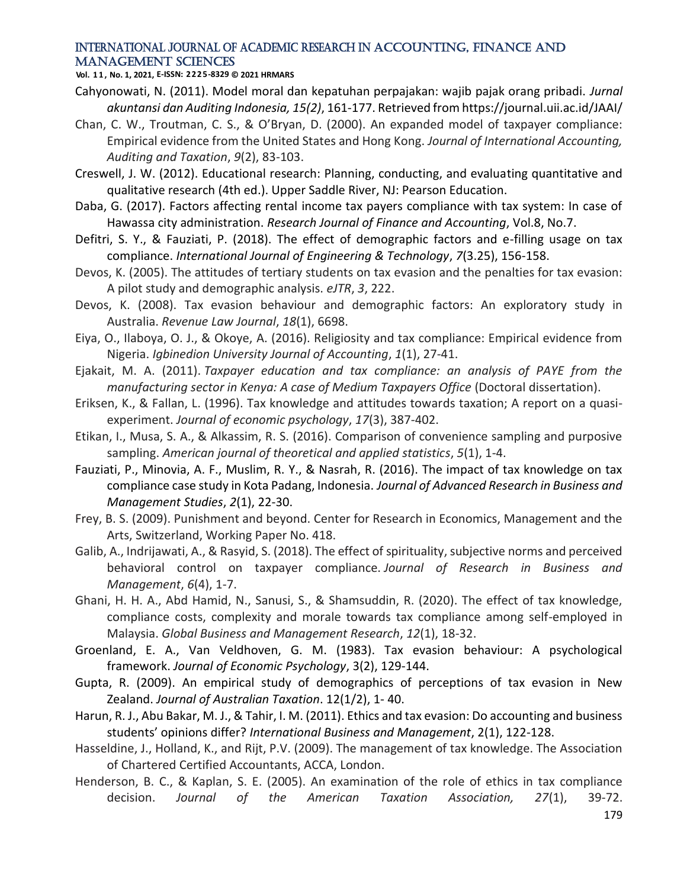**Vol. 1 1 , No. 1, 2021, E-ISSN: 2225-8329 © 2021 HRMARS**

- Cahyonowati, N. (2011). Model moral dan kepatuhan perpajakan: wajib pajak orang pribadi. *Jurnal akuntansi dan Auditing Indonesia, 15(2)*, 161-177. Retrieved from https://journal.uii.ac.id/JAAI/
- Chan, C. W., Troutman, C. S., & O'Bryan, D. (2000). An expanded model of taxpayer compliance: Empirical evidence from the United States and Hong Kong. *Journal of International Accounting, Auditing and Taxation*, *9*(2), 83-103.
- Creswell, J. W. (2012). Educational research: Planning, conducting, and evaluating quantitative and qualitative research (4th ed.). Upper Saddle River, NJ: Pearson Education.
- Daba, G. (2017). Factors affecting rental income tax payers compliance with tax system: In case of Hawassa city administration. *Research Journal of Finance and Accounting*, Vol.8, No.7.
- Defitri, S. Y., & Fauziati, P. (2018). The effect of demographic factors and e-filling usage on tax compliance. *International Journal of Engineering & Technology*, *7*(3.25), 156-158.
- Devos, K. (2005). The attitudes of tertiary students on tax evasion and the penalties for tax evasion: A pilot study and demographic analysis. *eJTR*, *3*, 222.
- Devos, K. (2008). Tax evasion behaviour and demographic factors: An exploratory study in Australia. *Revenue Law Journal*, *18*(1), 6698.
- Eiya, O., Ilaboya, O. J., & Okoye, A. (2016). Religiosity and tax compliance: Empirical evidence from Nigeria. *Igbinedion University Journal of Accounting*, *1*(1), 27-41.
- Ejakait, M. A. (2011). *Taxpayer education and tax compliance: an analysis of PAYE from the manufacturing sector in Kenya: A case of Medium Taxpayers Office* (Doctoral dissertation).
- Eriksen, K., & Fallan, L. (1996). Tax knowledge and attitudes towards taxation; A report on a quasiexperiment. *Journal of economic psychology*, *17*(3), 387-402.
- Etikan, I., Musa, S. A., & Alkassim, R. S. (2016). Comparison of convenience sampling and purposive sampling. *American journal of theoretical and applied statistics*, *5*(1), 1-4.
- Fauziati, P., Minovia, A. F., Muslim, R. Y., & Nasrah, R. (2016). The impact of tax knowledge on tax compliance case study in Kota Padang, Indonesia. *Journal of Advanced Research in Business and Management Studies*, *2*(1), 22-30.
- Frey, B. S. (2009). Punishment and beyond. Center for Research in Economics, Management and the Arts, Switzerland, Working Paper No. 418.
- Galib, A., Indrijawati, A., & Rasyid, S. (2018). The effect of spirituality, subjective norms and perceived behavioral control on taxpayer compliance. *Journal of Research in Business and Management*, *6*(4), 1-7.
- Ghani, H. H. A., Abd Hamid, N., Sanusi, S., & Shamsuddin, R. (2020). The effect of tax knowledge, compliance costs, complexity and morale towards tax compliance among self-employed in Malaysia. *Global Business and Management Research*, *12*(1), 18-32.
- Groenland, E. A., Van Veldhoven, G. M. (1983). Tax evasion behaviour: A psychological framework. *Journal of Economic Psychology*, 3(2), 129-144.
- Gupta, R. (2009). An empirical study of demographics of perceptions of tax evasion in New Zealand. *Journal of Australian Taxation*. 12(1/2), 1- 40.
- Harun, R. J., Abu Bakar, M. J., & Tahir, I. M. (2011). Ethics and tax evasion: Do accounting and business students' opinions differ? *International Business and Management*, 2(1), 122-128.
- Hasseldine, J., Holland, K., and Rijt, P.V. (2009). The management of tax knowledge. The Association of Chartered Certified Accountants, ACCA, London.
- Henderson, B. C., & Kaplan, S. E. (2005). An examination of the role of ethics in tax compliance decision. *Journal of the American Taxation Association, 27*(1), 39-72.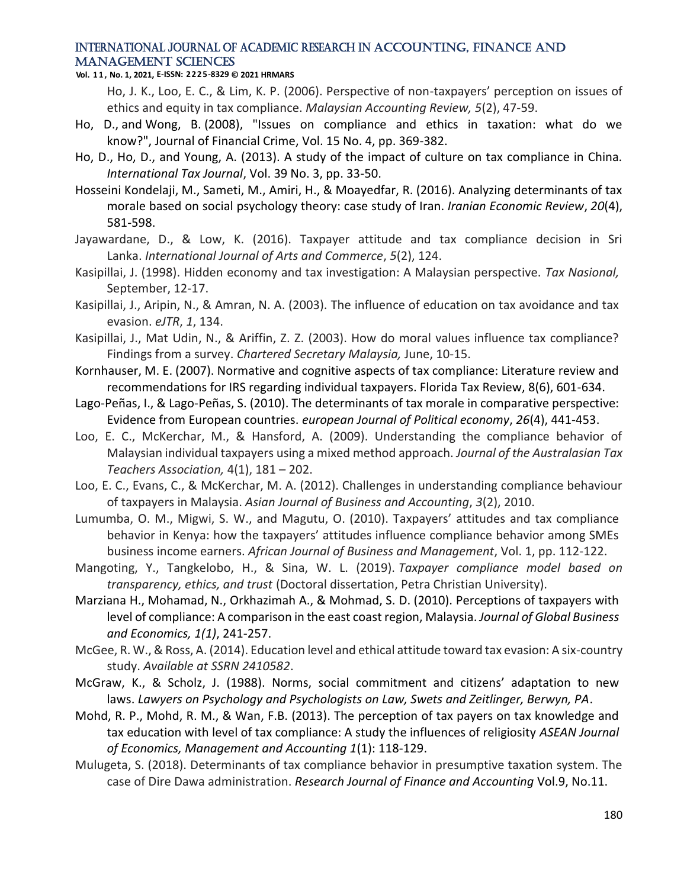#### **Vol. 1 1 , No. 1, 2021, E-ISSN: 2225-8329 © 2021 HRMARS**

Ho, J. K., Loo, E. C., & Lim, K. P. (2006). Perspective of non-taxpayers' perception on issues of ethics and equity in tax compliance. *Malaysian Accounting Review, 5*(2), 47-59.

- Ho, D., and Wong, B. (2008), "Issues on compliance and ethics in taxation: what do we know?", Journal of Financial Crime, Vol. 15 No. 4, pp. 369-382.
- Ho, D., Ho, D., and Young, A. (2013). A study of the impact of culture on tax compliance in China. *International Tax Journal*, Vol. 39 No. 3, pp. 33-50.
- Hosseini Kondelaji, M., Sameti, M., Amiri, H., & Moayedfar, R. (2016). Analyzing determinants of tax morale based on social psychology theory: case study of Iran. *Iranian Economic Review*, *20*(4), 581-598.
- Jayawardane, D., & Low, K. (2016). Taxpayer attitude and tax compliance decision in Sri Lanka. *International Journal of Arts and Commerce*, *5*(2), 124.
- Kasipillai, J. (1998). Hidden economy and tax investigation: A Malaysian perspective. *Tax Nasional,*  September, 12-17.
- Kasipillai, J., Aripin, N., & Amran, N. A. (2003). The influence of education on tax avoidance and tax evasion. *eJTR*, *1*, 134.
- Kasipillai, J., Mat Udin, N., & Ariffin, Z. Z. (2003). How do moral values influence tax compliance? Findings from a survey. *Chartered Secretary Malaysia,* June, 10-15.
- Kornhauser, M. E. (2007). Normative and cognitive aspects of tax compliance: Literature review and recommendations for IRS regarding individual taxpayers. Florida Tax Review, 8(6), 601-634.
- Lago-Peñas, I., & Lago-Peñas, S. (2010). The determinants of tax morale in comparative perspective: Evidence from European countries. *european Journal of Political economy*, *26*(4), 441-453.
- Loo, E. C., McKerchar, M., & Hansford, A. (2009). Understanding the compliance behavior of Malaysian individual taxpayers using a mixed method approach. *Journal of the Australasian Tax Teachers Association,* 4(1), 181 – 202.
- Loo, E. C., Evans, C., & McKerchar, M. A. (2012). Challenges in understanding compliance behaviour of taxpayers in Malaysia. *Asian Journal of Business and Accounting*, *3*(2), 2010.
- Lumumba, O. M., Migwi, S. W., and Magutu, O. (2010). Taxpayers' attitudes and tax compliance behavior in Kenya: how the taxpayers' attitudes influence compliance behavior among SMEs business income earners. *African Journal of Business and Management*, Vol. 1, pp. 112-122.
- Mangoting, Y., Tangkelobo, H., & Sina, W. L. (2019). *Taxpayer compliance model based on transparency, ethics, and trust* (Doctoral dissertation, Petra Christian University).
- Marziana H., Mohamad, N., Orkhazimah A., & Mohmad, S. D. (2010). Perceptions of taxpayers with level of compliance: A comparison in the east coast region, Malaysia. *Journal of Global Business and Economics, 1(1)*, 241-257.
- McGee, R. W., & Ross, A. (2014). Education level and ethical attitude toward tax evasion: A six-country study. *Available at SSRN 2410582*.
- McGraw, K., & Scholz, J. (1988). Norms, social commitment and citizens' adaptation to new laws. *Lawyers on Psychology and Psychologists on Law, Swets and Zeitlinger, Berwyn, PA*.
- Mohd, R. P., Mohd, R. M., & Wan, F.B. (2013). The perception of tax payers on tax knowledge and tax education with level of tax compliance: A study the influences of religiosity *ASEAN Journal of Economics, Management and Accounting 1*(1): 118-129.
- Mulugeta, S. (2018). Determinants of tax compliance behavior in presumptive taxation system. The case of Dire Dawa administration. *Research Journal of Finance and Accounting* Vol.9, No.11.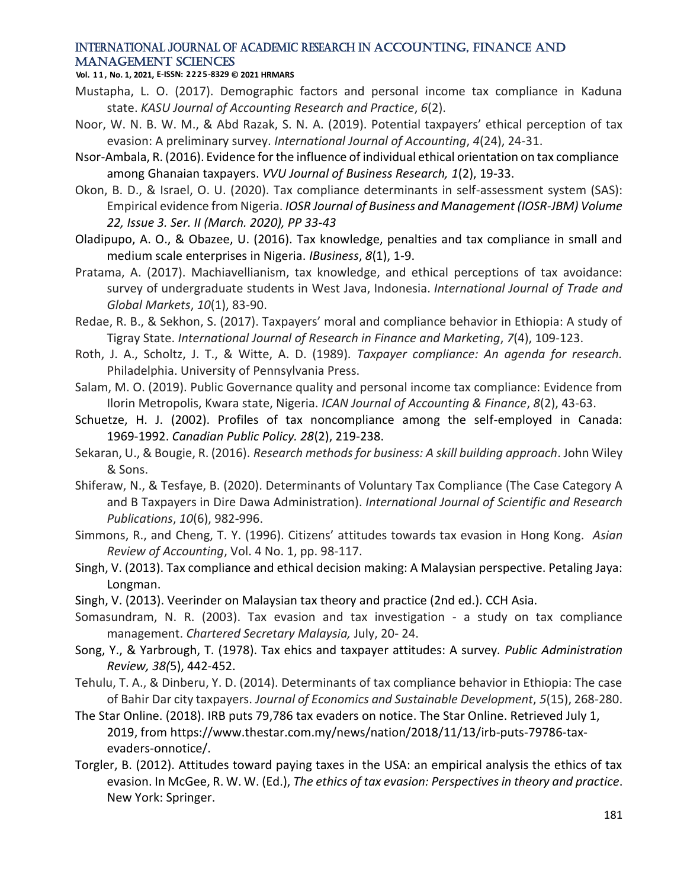#### **Vol. 1 1 , No. 1, 2021, E-ISSN: 2225-8329 © 2021 HRMARS**

- Mustapha, L. O. (2017). Demographic factors and personal income tax compliance in Kaduna state. *KASU Journal of Accounting Research and Practice*, *6*(2).
- Noor, W. N. B. W. M., & Abd Razak, S. N. A. (2019). Potential taxpayers' ethical perception of tax evasion: A preliminary survey. *International Journal of Accounting*, *4*(24), 24-31.
- Nsor-Ambala, R. (2016). Evidence for the influence of individual ethical orientation on tax compliance among Ghanaian taxpayers. *VVU Journal of Business Research, 1*(2), 19-33.
- Okon, B. D., & Israel, O. U. (2020). Tax compliance determinants in self-assessment system (SAS): Empirical evidence from Nigeria. *IOSR Journal of Business and Management (IOSR-JBM) Volume 22, Issue 3. Ser. II (March. 2020), PP 33-43*
- Oladipupo, A. O., & Obazee, U. (2016). Tax knowledge, penalties and tax compliance in small and medium scale enterprises in Nigeria. *IBusiness*, *8*(1), 1-9.
- Pratama, A. (2017). Machiavellianism, tax knowledge, and ethical perceptions of tax avoidance: survey of undergraduate students in West Java, Indonesia. *International Journal of Trade and Global Markets*, *10*(1), 83-90.
- Redae, R. B., & Sekhon, S. (2017). Taxpayers' moral and compliance behavior in Ethiopia: A study of Tigray State. *International Journal of Research in Finance and Marketing*, *7*(4), 109-123.
- Roth, J. A., Scholtz, J. T., & Witte, A. D. (1989). *Taxpayer compliance: An agenda for research.*  Philadelphia. University of Pennsylvania Press.
- Salam, M. O. (2019). Public Governance quality and personal income tax compliance: Evidence from Ilorin Metropolis, Kwara state, Nigeria. *ICAN Journal of Accounting & Finance*, *8*(2), 43-63.
- Schuetze, H. J. (2002). Profiles of tax noncompliance among the self-employed in Canada: 1969-1992. *Canadian Public Policy. 28*(2), 219-238.
- Sekaran, U., & Bougie, R. (2016). *Research methods for business: A skill building approach*. John Wiley & Sons.
- Shiferaw, N., & Tesfaye, B. (2020). Determinants of Voluntary Tax Compliance (The Case Category A and B Taxpayers in Dire Dawa Administration). *International Journal of Scientific and Research Publications*, *10*(6), 982-996.
- Simmons, R., and Cheng, T. Y. (1996). Citizens' attitudes towards tax evasion in Hong Kong. *Asian Review of Accounting*, Vol. 4 No. 1, pp. 98-117.
- Singh, V. (2013). Tax compliance and ethical decision making: A Malaysian perspective. Petaling Jaya: Longman.
- Singh, V. (2013). Veerinder on Malaysian tax theory and practice (2nd ed.). CCH Asia.
- Somasundram, N. R. (2003). Tax evasion and tax investigation a study on tax compliance management. *Chartered Secretary Malaysia,* July, 20- 24.
- Song, Y., & Yarbrough, T. (1978). Tax ehics and taxpayer attitudes: A survey*. Public Administration Review, 38(*5), 442-452.
- Tehulu, T. A., & Dinberu, Y. D. (2014). Determinants of tax compliance behavior in Ethiopia: The case of Bahir Dar city taxpayers. *Journal of Economics and Sustainable Development*, *5*(15), 268-280.
- The Star Online. (2018). IRB puts 79,786 tax evaders on notice. The Star Online. Retrieved July 1, 2019, from [https://www.thestar.com.my/news/nation/2018/11/13/irb-puts-79786-tax](https://www.thestar.com.my/news/nation/2018/11/13/irb-puts-79786-tax-evaders-onnotice/)[evaders-onnotice/.](https://www.thestar.com.my/news/nation/2018/11/13/irb-puts-79786-tax-evaders-onnotice/)
- Torgler, B. (2012). Attitudes toward paying taxes in the USA: an empirical analysis the ethics of tax evasion. In McGee, R. W. W. (Ed.), *The ethics of tax evasion: Perspectives in theory and practice*. New York: Springer.